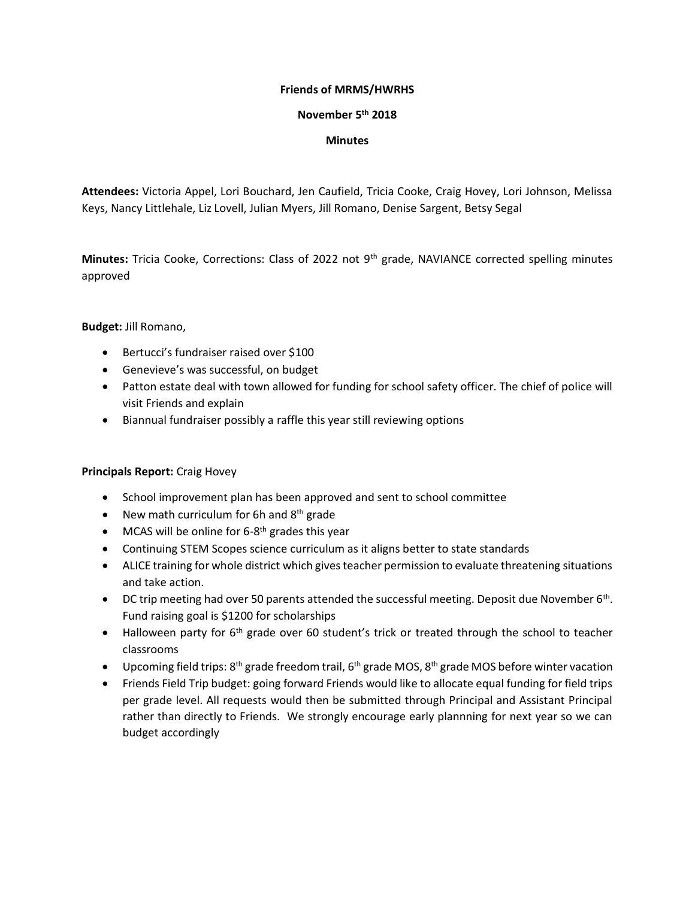## **Friends of MRMS/HWRHS**

## **November 5th 2018**

## **Minutes**

**Attendees:** Victoria Appel, Lori Bouchard, Jen Caufield, Tricia Cooke, Craig Hovey, Lori Johnson, Melissa Keys, Nancy Littlehale, Liz Lovell, Julian Myers, Jill Romano, Denise Sargent, Betsy Segal

**Minutes:** Tricia Cooke, Corrections: Class of 2022 not 9th grade, NAVIANCE corrected spelling minutes approved

**Budget:** Jill Romano,

- Bertucci's fundraiser raised over \$100
- Genevieve's was successful, on budget
- Patton estate deal with town allowed for funding for school safety officer. The chief of police will visit Friends and explain
- Biannual fundraiser possibly a raffle this year still reviewing options

## **Principals Report:** Craig Hovey

- School improvement plan has been approved and sent to school committee
- New math curriculum for 6h and  $8<sup>th</sup>$  grade
- MCAS will be online for  $6-8$ <sup>th</sup> grades this year
- Continuing STEM Scopes science curriculum as it aligns better to state standards
- ALICE training for whole district which gives teacher permission to evaluate threatening situations and take action.
- DC trip meeting had over 50 parents attended the successful meeting. Deposit due November 6<sup>th</sup>. Fund raising goal is \$1200 for scholarships
- Halloween party for 6<sup>th</sup> grade over 60 student's trick or treated through the school to teacher classrooms
- Upcoming field trips:  $8<sup>th</sup>$  grade freedom trail, 6<sup>th</sup> grade MOS, 8<sup>th</sup> grade MOS before winter vacation
- Friends Field Trip budget: going forward Friends would like to allocate equal funding for field trips per grade level. All requests would then be submitted through Principal and Assistant Principal rather than directly to Friends. We strongly encourage early plannning for next year so we can budget accordingly